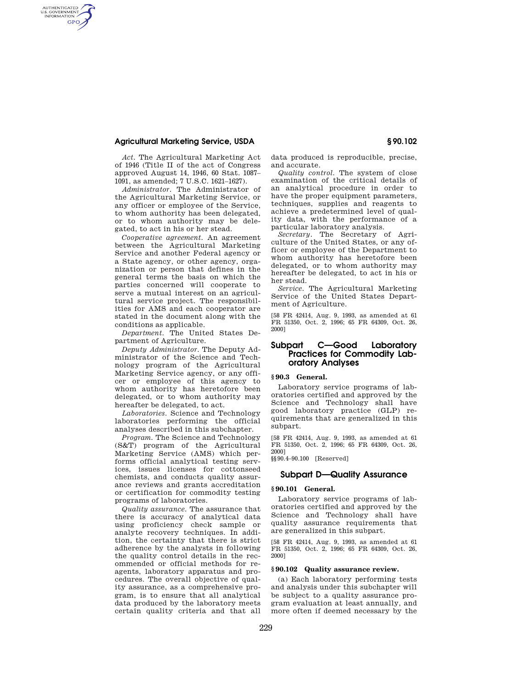## **Agricultural Marketing Service, USDA § 90.102**

AUTHENTICATED<br>U.S. GOVERNMENT<br>INFORMATION **GPO** 

> *Act.* The Agricultural Marketing Act of 1946 (Title II of the act of Congress approved August 14, 1946, 60 Stat. 1087– 1091, as amended; 7 U.S.C. 1621–1627).

> *Administrator.* The Administrator of the Agricultural Marketing Service, or any officer or employee of the Service, to whom authority has been delegated, or to whom authority may be delegated, to act in his or her stead.

*Cooperative agreement.* An agreement between the Agricultural Marketing Service and another Federal agency or a State agency, or other agency, organization or person that defines in the general terms the basis on which the parties concerned will cooperate to serve a mutual interest on an agricultural service project. The responsibilities for AMS and each cooperator are stated in the document along with the conditions as applicable.

*Department.* The United States Department of Agriculture.

*Deputy Administrator.* The Deputy Administrator of the Science and Technology program of the Agricultural Marketing Service agency, or any officer or employee of this agency to whom authority has heretofore been delegated, or to whom authority may hereafter be delegated, to act.

*Laboratories.* Science and Technology laboratories performing the official analyses described in this subchapter.

*Program.* The Science and Technology (S&T) program of the Agricultural Marketing Service (AMS) which performs official analytical testing services, issues licenses for cottonseed chemists, and conducts quality assurance reviews and grants accreditation or certification for commodity testing programs of laboratories.

*Quality assurance.* The assurance that there is accuracy of analytical data using proficiency check sample or analyte recovery techniques. In addition, the certainty that there is strict adherence by the analysts in following the quality control details in the recommended or official methods for reagents, laboratory apparatus and procedures. The overall objective of quality assurance, as a comprehensive program, is to ensure that all analytical data produced by the laboratory meets certain quality criteria and that all

data produced is reproducible, precise, and accurate.

*Quality control.* The system of close examination of the critical details of an analytical procedure in order to have the proper equipment parameters, techniques, supplies and reagents to achieve a predetermined level of quality data, with the performance of a particular laboratory analysis.

*Secretary.* The Secretary of Agriculture of the United States, or any officer or employee of the Department to whom authority has heretofore been delegated, or to whom authority may hereafter be delegated, to act in his or her stead.

*Service.* The Agricultural Marketing Service of the United States Department of Agriculture.

[58 FR 42414, Aug. 9, 1993, as amended at 61 FR 51350, Oct. 2, 1996; 65 FR 64309, Oct. 26, 2000]

## **Subpart C—Good Laboratory Practices for Commodity Laboratory Analyses**

## **§ 90.3 General.**

Laboratory service programs of laboratories certified and approved by the Science and Technology shall have good laboratory practice (GLP) requirements that are generalized in this subpart.

[58 FR 42414, Aug. 9, 1993, as amended at 61 FR 51350, Oct. 2, 1996; 65 FR 64309, Oct. 26, 2000]

§§90.4–90.100 [Reserved]

## **Subpart D—Quality Assurance**

## **§ 90.101 General.**

Laboratory service programs of laboratories certified and approved by the Science and Technology shall have quality assurance requirements that are generalized in this subpart.

[58 FR 42414, Aug. 9, 1993, as amended at 61 FR 51350, Oct. 2, 1996; 65 FR 64309, Oct. 26, 2000]

## **§ 90.102 Quality assurance review.**

(a) Each laboratory performing tests and analysis under this subchapter will be subject to a quality assurance program evaluation at least annually, and more often if deemed necessary by the